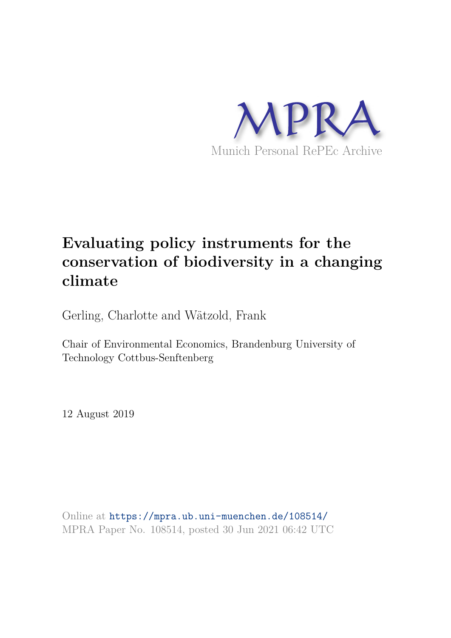

# **Evaluating policy instruments for the conservation of biodiversity in a changing climate**

Gerling, Charlotte and Wätzold, Frank

Chair of Environmental Economics, Brandenburg University of Technology Cottbus-Senftenberg

12 August 2019

Online at https://mpra.ub.uni-muenchen.de/108514/ MPRA Paper No. 108514, posted 30 Jun 2021 06:42 UTC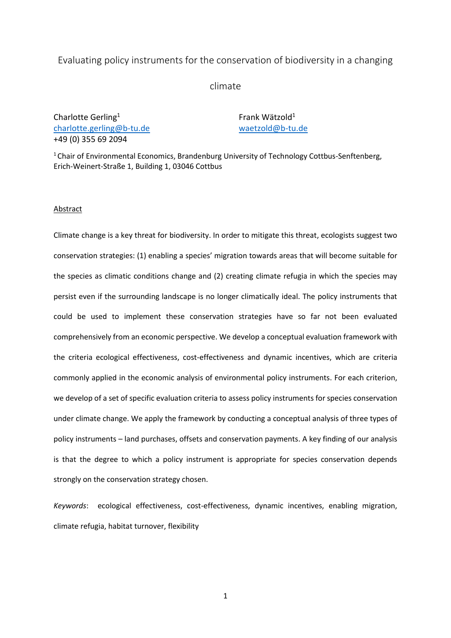# Evaluating policy instruments for the conservation of biodiversity in a changing

climate

Charlotte Gerling<sup>1</sup> [charlotte.gerling@b-tu.de](mailto:charlotte.gerling@b-tu.de) +49 (0) 355 69 2094

Frank Wätzold<sup>1</sup> [waetzold@b-tu.de](mailto:waetzold@b-tu.de) 

<sup>1</sup> Chair of Environmental Economics, Brandenburg University of Technology Cottbus-Senftenberg, Erich-Weinert-Straße 1, Building 1, 03046 Cottbus

#### **Abstract**

Climate change is a key threat for biodiversity. In order to mitigate this threat, ecologists suggest two conservation strategies: (1) enabling a species' migration towards areas that will become suitable for the species as climatic conditions change and (2) creating climate refugia in which the species may persist even if the surrounding landscape is no longer climatically ideal. The policy instruments that could be used to implement these conservation strategies have so far not been evaluated comprehensively from an economic perspective. We develop a conceptual evaluation framework with the criteria ecological effectiveness, cost-effectiveness and dynamic incentives, which are criteria commonly applied in the economic analysis of environmental policy instruments. For each criterion, we develop of a set of specific evaluation criteria to assess policy instruments for species conservation under climate change. We apply the framework by conducting a conceptual analysis of three types of policy instruments – land purchases, offsets and conservation payments. A key finding of our analysis is that the degree to which a policy instrument is appropriate for species conservation depends strongly on the conservation strategy chosen.

*Keywords*: ecological effectiveness, cost-effectiveness, dynamic incentives, enabling migration, climate refugia, habitat turnover, flexibility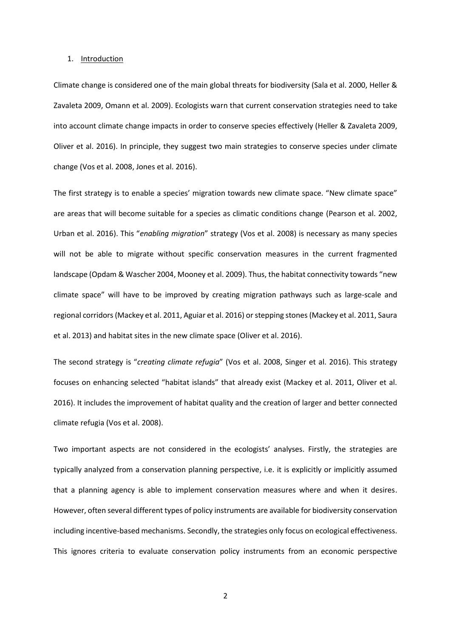#### 1. Introduction

Climate change is considered one of the main global threats for biodiversity (Sala et al. 2000, Heller & Zavaleta 2009, Omann et al. 2009). Ecologists warn that current conservation strategies need to take into account climate change impacts in order to conserve species effectively (Heller & Zavaleta 2009, Oliver et al. 2016). In principle, they suggest two main strategies to conserve species under climate change (Vos et al. 2008, Jones et al. 2016).

The first strategy is to enable a species' migration towards new climate space. "New climate space" are areas that will become suitable for a species as climatic conditions change (Pearson et al. 2002, Urban et al. 2016). This "*enabling migration*" strategy (Vos et al. 2008) is necessary as many species will not be able to migrate without specific conservation measures in the current fragmented landscape (Opdam & Wascher 2004, Mooney et al. 2009). Thus, the habitat connectivity towards "new climate space" will have to be improved by creating migration pathways such as large-scale and regional corridors (Mackey et al. 2011, Aguiar et al. 2016) or stepping stones (Mackey et al. 2011, Saura et al. 2013) and habitat sites in the new climate space (Oliver et al. 2016).

The second strategy is "*creating climate refugia*" (Vos et al. 2008, Singer et al. 2016). This strategy focuses on enhancing selected "habitat islands" that already exist (Mackey et al. 2011, Oliver et al. 2016). It includes the improvement of habitat quality and the creation of larger and better connected climate refugia (Vos et al. 2008).

Two important aspects are not considered in the ecologists' analyses. Firstly, the strategies are typically analyzed from a conservation planning perspective, i.e. it is explicitly or implicitly assumed that a planning agency is able to implement conservation measures where and when it desires. However, often several different types of policy instruments are available for biodiversity conservation including incentive-based mechanisms. Secondly, the strategies only focus on ecological effectiveness. This ignores criteria to evaluate conservation policy instruments from an economic perspective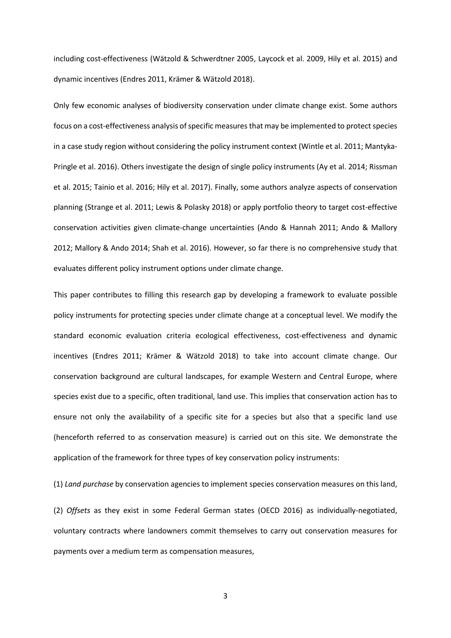including cost-effectiveness (Wätzold & Schwerdtner 2005, Laycock et al. 2009, Hily et al. 2015) and dynamic incentives (Endres 2011, Krämer & Wätzold 2018).

Only few economic analyses of biodiversity conservation under climate change exist. Some authors focus on a cost-effectiveness analysis of specific measures that may be implemented to protect species in a case study region without considering the policy instrument context (Wintle et al. 2011; Mantyka-Pringle et al. 2016). Others investigate the design of single policy instruments (Ay et al. 2014; Rissman et al. 2015; Tainio et al. 2016; Hily et al. 2017). Finally, some authors analyze aspects of conservation planning (Strange et al. 2011; Lewis & Polasky 2018) or apply portfolio theory to target cost-effective conservation activities given climate-change uncertainties (Ando & Hannah 2011; Ando & Mallory 2012; Mallory & Ando 2014; Shah et al. 2016). However, so far there is no comprehensive study that evaluates different policy instrument options under climate change.

This paper contributes to filling this research gap by developing a framework to evaluate possible policy instruments for protecting species under climate change at a conceptual level. We modify the standard economic evaluation criteria ecological effectiveness, cost-effectiveness and dynamic incentives (Endres 2011; Krämer & Wätzold 2018) to take into account climate change. Our conservation background are cultural landscapes, for example Western and Central Europe, where species exist due to a specific, often traditional, land use. This implies that conservation action has to ensure not only the availability of a specific site for a species but also that a specific land use (henceforth referred to as conservation measure) is carried out on this site. We demonstrate the application of the framework for three types of key conservation policy instruments:

(1) *Land purchase* by conservation agencies to implement species conservation measures on this land,

(2) *Offsets* as they exist in some Federal German states (OECD 2016) as individually-negotiated, voluntary contracts where landowners commit themselves to carry out conservation measures for payments over a medium term as compensation measures,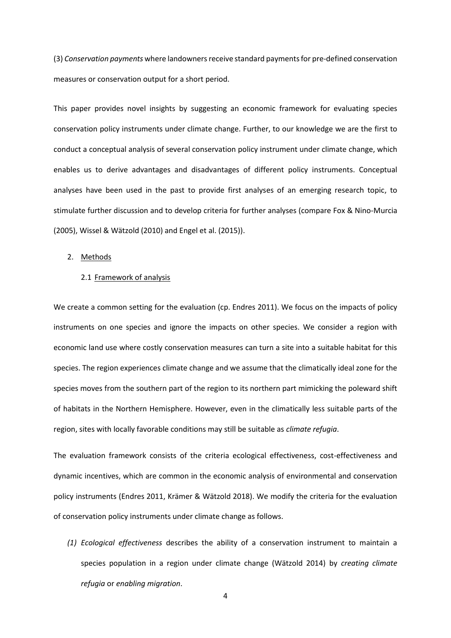(3) *Conservation payments* where landowners receive standard payments for pre-defined conservation measures or conservation output for a short period.

This paper provides novel insights by suggesting an economic framework for evaluating species conservation policy instruments under climate change. Further, to our knowledge we are the first to conduct a conceptual analysis of several conservation policy instrument under climate change, which enables us to derive advantages and disadvantages of different policy instruments. Conceptual analyses have been used in the past to provide first analyses of an emerging research topic, to stimulate further discussion and to develop criteria for further analyses (compare Fox & Nino-Murcia (2005), Wissel & Wätzold (2010) and Engel et al. (2015)).

#### 2. Methods

# 2.1 Framework of analysis

We create a common setting for the evaluation (cp. Endres 2011). We focus on the impacts of policy instruments on one species and ignore the impacts on other species. We consider a region with economic land use where costly conservation measures can turn a site into a suitable habitat for this species. The region experiences climate change and we assume that the climatically ideal zone for the species moves from the southern part of the region to its northern part mimicking the poleward shift of habitats in the Northern Hemisphere. However, even in the climatically less suitable parts of the region, sites with locally favorable conditions may still be suitable as *climate refugia*.

The evaluation framework consists of the criteria ecological effectiveness, cost-effectiveness and dynamic incentives, which are common in the economic analysis of environmental and conservation policy instruments (Endres 2011, Krämer & Wätzold 2018). We modify the criteria for the evaluation of conservation policy instruments under climate change as follows.

*(1) Ecological effectiveness* describes the ability of a conservation instrument to maintain a species population in a region under climate change (Wätzold 2014) by *creating climate refugia* or *enabling migration*.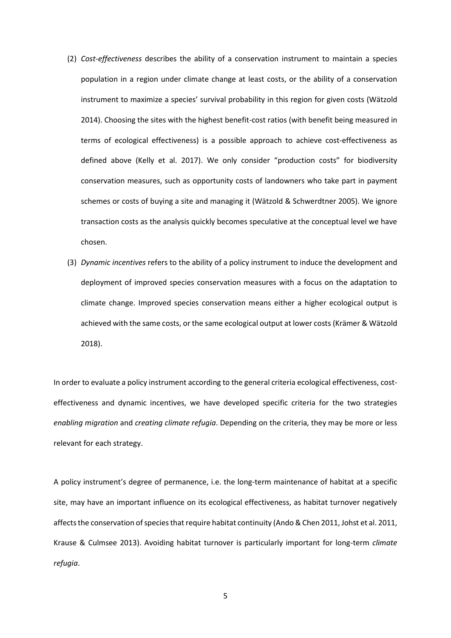- (2) *Cost-effectiveness* describes the ability of a conservation instrument to maintain a species population in a region under climate change at least costs, or the ability of a conservation instrument to maximize a species' survival probability in this region for given costs (Wätzold 2014). Choosing the sites with the highest benefit-cost ratios (with benefit being measured in terms of ecological effectiveness) is a possible approach to achieve cost-effectiveness as defined above (Kelly et al. 2017). We only consider "production costs" for biodiversity conservation measures, such as opportunity costs of landowners who take part in payment schemes or costs of buying a site and managing it (Wätzold & Schwerdtner 2005). We ignore transaction costs as the analysis quickly becomes speculative at the conceptual level we have chosen.
- (3) *Dynamic incentives* refers to the ability of a policy instrument to induce the development and deployment of improved species conservation measures with a focus on the adaptation to climate change. Improved species conservation means either a higher ecological output is achieved with the same costs, or the same ecological output at lower costs (Krämer & Wätzold 2018).

In order to evaluate a policy instrument according to the general criteria ecological effectiveness, costeffectiveness and dynamic incentives, we have developed specific criteria for the two strategies *enabling migration* and *creating climate refugia*. Depending on the criteria, they may be more or less relevant for each strategy.

A policy instrument's degree of permanence, i.e. the long-term maintenance of habitat at a specific site, may have an important influence on its ecological effectiveness, as habitat turnover negatively affects the conservation of species that require habitat continuity (Ando & Chen 2011, Johst et al. 2011, Krause & Culmsee 2013). Avoiding habitat turnover is particularly important for long-term *climate refugia*.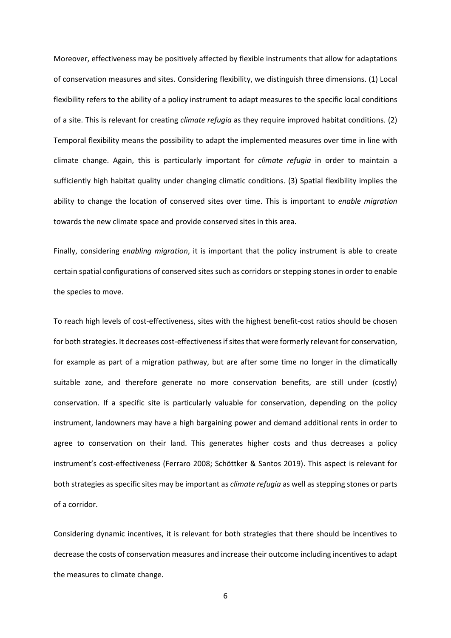Moreover, effectiveness may be positively affected by flexible instruments that allow for adaptations of conservation measures and sites. Considering flexibility, we distinguish three dimensions. (1) Local flexibility refers to the ability of a policy instrument to adapt measures to the specific local conditions of a site. This is relevant for creating *climate refugia* as they require improved habitat conditions. (2) Temporal flexibility means the possibility to adapt the implemented measures over time in line with climate change. Again, this is particularly important for *climate refugia* in order to maintain a sufficiently high habitat quality under changing climatic conditions. (3) Spatial flexibility implies the ability to change the location of conserved sites over time. This is important to *enable migration* towards the new climate space and provide conserved sites in this area.

Finally, considering *enabling migration*, it is important that the policy instrument is able to create certain spatial configurations of conserved sites such as corridors or stepping stones in order to enable the species to move.

To reach high levels of cost-effectiveness, sites with the highest benefit-cost ratios should be chosen for both strategies. It decreases cost-effectiveness if sites that were formerly relevant for conservation, for example as part of a migration pathway, but are after some time no longer in the climatically suitable zone, and therefore generate no more conservation benefits, are still under (costly) conservation. If a specific site is particularly valuable for conservation, depending on the policy instrument, landowners may have a high bargaining power and demand additional rents in order to agree to conservation on their land. This generates higher costs and thus decreases a policy instrument's cost-effectiveness (Ferraro 2008; Schöttker & Santos 2019). This aspect is relevant for both strategies as specific sites may be important as *climate refugia* as well as stepping stones or parts of a corridor.

Considering dynamic incentives, it is relevant for both strategies that there should be incentives to decrease the costs of conservation measures and increase their outcome including incentives to adapt the measures to climate change.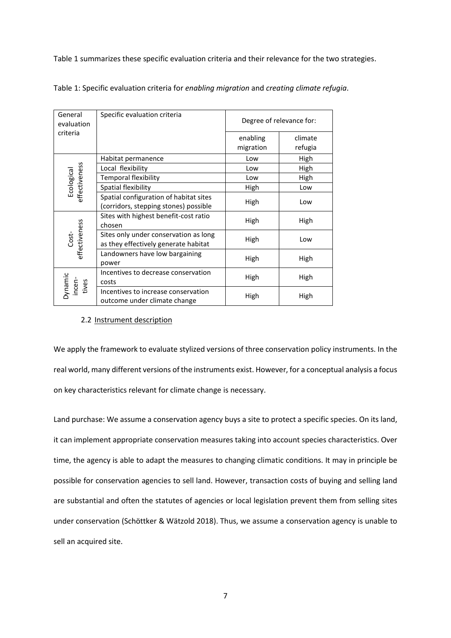Table 1 summarizes these specific evaluation criteria and their relevance for the two strategies.

| General<br>evaluation       | Specific evaluation criteria                                                    |                       | Degree of relevance for: |  |  |  |
|-----------------------------|---------------------------------------------------------------------------------|-----------------------|--------------------------|--|--|--|
| criteria                    |                                                                                 | enabling<br>migration | climate<br>refugia       |  |  |  |
| Ecological<br>effectiveness | Habitat permanence                                                              | Low                   | High                     |  |  |  |
|                             | Local flexibility                                                               | Low                   | High                     |  |  |  |
|                             | Temporal flexibility                                                            | High<br>Low           |                          |  |  |  |
|                             | Spatial flexibility                                                             | High                  | Low                      |  |  |  |
|                             | Spatial configuration of habitat sites<br>(corridors, stepping stones) possible | High                  | Low                      |  |  |  |
| Cost-<br>effectiveness      | Sites with highest benefit-cost ratio<br>chosen                                 | High                  | High                     |  |  |  |
|                             | Sites only under conservation as long<br>as they effectively generate habitat   | High                  | Low                      |  |  |  |
|                             | Landowners have low bargaining<br>power                                         | High                  | High                     |  |  |  |
| Dynamic<br>incen-<br>tives  | Incentives to decrease conservation<br>costs                                    | High                  | High                     |  |  |  |
|                             | Incentives to increase conservation<br>outcome under climate change             | High                  | High                     |  |  |  |

Table 1: Specific evaluation criteria for *enabling migration* and *creating climate refugia*.

# 2.2 Instrument description

We apply the framework to evaluate stylized versions of three conservation policy instruments. In the real world, many different versions of the instruments exist. However, for a conceptual analysis a focus on key characteristics relevant for climate change is necessary.

Land purchase: We assume a conservation agency buys a site to protect a specific species. On its land, it can implement appropriate conservation measures taking into account species characteristics. Over time, the agency is able to adapt the measures to changing climatic conditions. It may in principle be possible for conservation agencies to sell land. However, transaction costs of buying and selling land are substantial and often the statutes of agencies or local legislation prevent them from selling sites under conservation (Schöttker & Wätzold 2018). Thus, we assume a conservation agency is unable to sell an acquired site.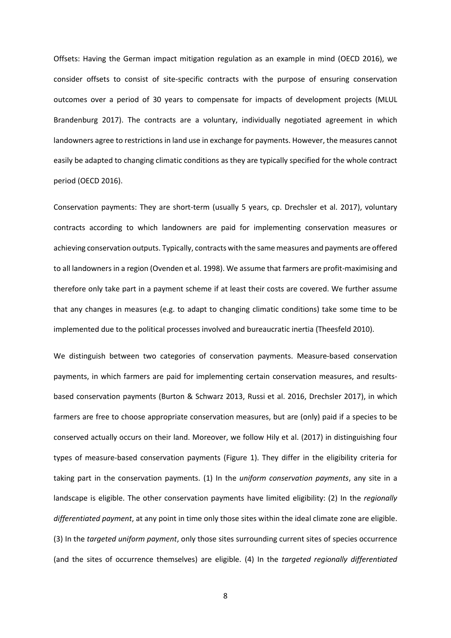Offsets: Having the German impact mitigation regulation as an example in mind (OECD 2016), we consider offsets to consist of site-specific contracts with the purpose of ensuring conservation outcomes over a period of 30 years to compensate for impacts of development projects (MLUL Brandenburg 2017). The contracts are a voluntary, individually negotiated agreement in which landowners agree to restrictions in land use in exchange for payments. However, the measures cannot easily be adapted to changing climatic conditions as they are typically specified for the whole contract period (OECD 2016).

Conservation payments: They are short-term (usually 5 years, cp. Drechsler et al. 2017), voluntary contracts according to which landowners are paid for implementing conservation measures or achieving conservation outputs. Typically, contracts with the same measures and payments are offered to all landowners in a region (Ovenden et al. 1998). We assume that farmers are profit-maximising and therefore only take part in a payment scheme if at least their costs are covered. We further assume that any changes in measures (e.g. to adapt to changing climatic conditions) take some time to be implemented due to the political processes involved and bureaucratic inertia (Theesfeld 2010).

We distinguish between two categories of conservation payments. Measure-based conservation payments, in which farmers are paid for implementing certain conservation measures, and resultsbased conservation payments (Burton & Schwarz 2013, Russi et al. 2016, Drechsler 2017), in which farmers are free to choose appropriate conservation measures, but are (only) paid if a species to be conserved actually occurs on their land. Moreover, we follow Hily et al. (2017) in distinguishing four types of measure-based conservation payments (Figure 1). They differ in the eligibility criteria for taking part in the conservation payments. (1) In the *uniform conservation payments*, any site in a landscape is eligible. The other conservation payments have limited eligibility: (2) In the *regionally differentiated payment*, at any point in time only those sites within the ideal climate zone are eligible. (3) In the *targeted uniform payment*, only those sites surrounding current sites of species occurrence (and the sites of occurrence themselves) are eligible. (4) In the *targeted regionally differentiated*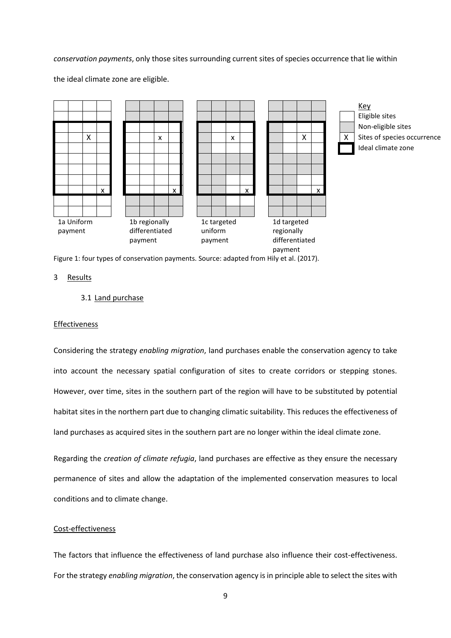## *conservation payments*, only those sites surrounding current sites of species occurrence that lie within



the ideal climate zone are eligible.

Figure 1: four types of conservation payments. Source: adapted from Hily et al. (2017).

# 3 Results

# 3.1 Land purchase

#### Effectiveness

Considering the strategy *enabling migration*, land purchases enable the conservation agency to take into account the necessary spatial configuration of sites to create corridors or stepping stones. However, over time, sites in the southern part of the region will have to be substituted by potential habitat sites in the northern part due to changing climatic suitability. This reduces the effectiveness of land purchases as acquired sites in the southern part are no longer within the ideal climate zone.

Regarding the *creation of climate refugia*, land purchases are effective as they ensure the necessary permanence of sites and allow the adaptation of the implemented conservation measures to local conditions and to climate change.

# Cost-effectiveness

The factors that influence the effectiveness of land purchase also influence their cost-effectiveness. For the strategy *enabling migration*, the conservation agency is in principle able to select the sites with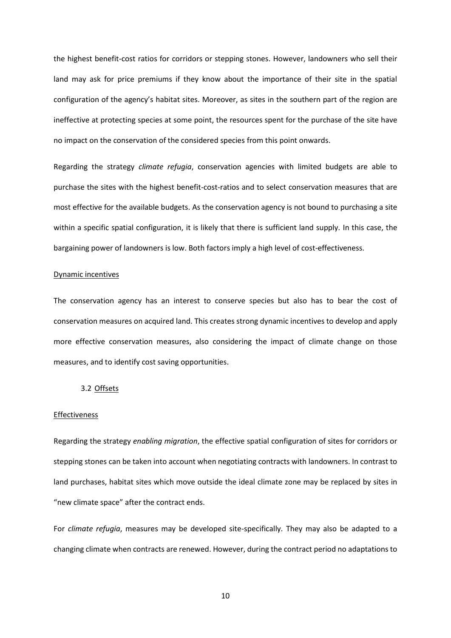the highest benefit-cost ratios for corridors or stepping stones. However, landowners who sell their land may ask for price premiums if they know about the importance of their site in the spatial configuration of the agency's habitat sites. Moreover, as sites in the southern part of the region are ineffective at protecting species at some point, the resources spent for the purchase of the site have no impact on the conservation of the considered species from this point onwards.

Regarding the strategy *climate refugia*, conservation agencies with limited budgets are able to purchase the sites with the highest benefit-cost-ratios and to select conservation measures that are most effective for the available budgets. As the conservation agency is not bound to purchasing a site within a specific spatial configuration, it is likely that there is sufficient land supply. In this case, the bargaining power of landowners is low. Both factors imply a high level of cost-effectiveness.

#### Dynamic incentives

The conservation agency has an interest to conserve species but also has to bear the cost of conservation measures on acquired land. This creates strong dynamic incentives to develop and apply more effective conservation measures, also considering the impact of climate change on those measures, and to identify cost saving opportunities.

# 3.2 Offsets

#### Effectiveness

Regarding the strategy *enabling migration*, the effective spatial configuration of sites for corridors or stepping stones can be taken into account when negotiating contracts with landowners. In contrast to land purchases, habitat sites which move outside the ideal climate zone may be replaced by sites in "new climate space" after the contract ends.

For *climate refugia*, measures may be developed site-specifically. They may also be adapted to a changing climate when contracts are renewed. However, during the contract period no adaptations to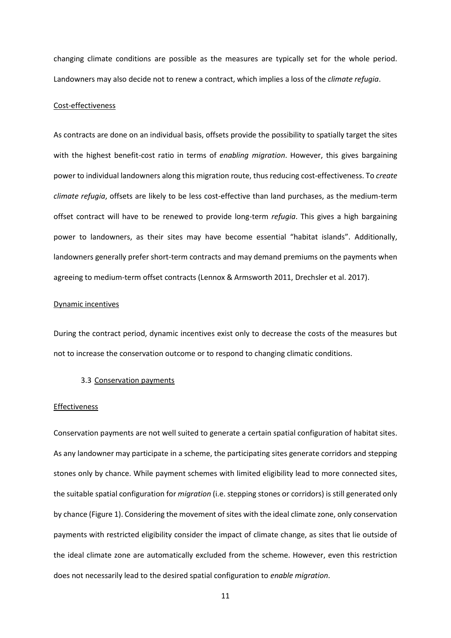changing climate conditions are possible as the measures are typically set for the whole period. Landowners may also decide not to renew a contract, which implies a loss of the *climate refugia*.

# Cost-effectiveness

As contracts are done on an individual basis, offsets provide the possibility to spatially target the sites with the highest benefit-cost ratio in terms of *enabling migration*. However, this gives bargaining power to individual landowners along this migration route, thus reducing cost-effectiveness. To *create climate refugia*, offsets are likely to be less cost-effective than land purchases, as the medium-term offset contract will have to be renewed to provide long-term *refugia*. This gives a high bargaining power to landowners, as their sites may have become essential "habitat islands". Additionally, landowners generally prefer short-term contracts and may demand premiums on the payments when agreeing to medium-term offset contracts (Lennox & Armsworth 2011, Drechsler et al. 2017).

## Dynamic incentives

During the contract period, dynamic incentives exist only to decrease the costs of the measures but not to increase the conservation outcome or to respond to changing climatic conditions.

#### 3.3 Conservation payments

#### Effectiveness

Conservation payments are not well suited to generate a certain spatial configuration of habitat sites. As any landowner may participate in a scheme, the participating sites generate corridors and stepping stones only by chance. While payment schemes with limited eligibility lead to more connected sites, the suitable spatial configuration for *migration* (i.e. stepping stones or corridors) is still generated only by chance (Figure 1). Considering the movement of sites with the ideal climate zone, only conservation payments with restricted eligibility consider the impact of climate change, as sites that lie outside of the ideal climate zone are automatically excluded from the scheme. However, even this restriction does not necessarily lead to the desired spatial configuration to *enable migration*.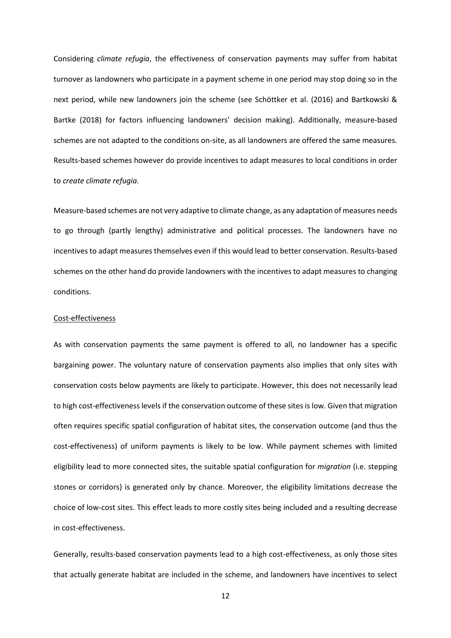Considering *climate refugia*, the effectiveness of conservation payments may suffer from habitat turnover as landowners who participate in a payment scheme in one period may stop doing so in the next period, while new landowners join the scheme (see Schöttker et al. (2016) and Bartkowski & Bartke (2018) for factors influencing landowners' decision making). Additionally, measure-based schemes are not adapted to the conditions on-site, as all landowners are offered the same measures. Results-based schemes however do provide incentives to adapt measures to local conditions in order to *create climate refugia*.

Measure-based schemes are not very adaptive to climate change, as any adaptation of measures needs to go through (partly lengthy) administrative and political processes. The landowners have no incentives to adapt measures themselves even if this would lead to better conservation. Results-based schemes on the other hand do provide landowners with the incentives to adapt measures to changing conditions.

#### Cost-effectiveness

As with conservation payments the same payment is offered to all, no landowner has a specific bargaining power. The voluntary nature of conservation payments also implies that only sites with conservation costs below payments are likely to participate. However, this does not necessarily lead to high cost-effectiveness levels if the conservation outcome of these sites is low. Given that migration often requires specific spatial configuration of habitat sites, the conservation outcome (and thus the cost-effectiveness) of uniform payments is likely to be low. While payment schemes with limited eligibility lead to more connected sites, the suitable spatial configuration for *migration* (i.e. stepping stones or corridors) is generated only by chance. Moreover, the eligibility limitations decrease the choice of low-cost sites. This effect leads to more costly sites being included and a resulting decrease in cost-effectiveness.

Generally, results-based conservation payments lead to a high cost-effectiveness, as only those sites that actually generate habitat are included in the scheme, and landowners have incentives to select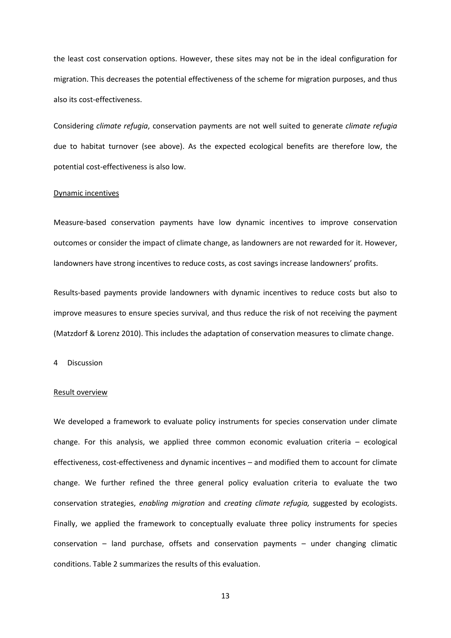the least cost conservation options. However, these sites may not be in the ideal configuration for migration. This decreases the potential effectiveness of the scheme for migration purposes, and thus also its cost-effectiveness.

Considering *climate refugia*, conservation payments are not well suited to generate *climate refugia* due to habitat turnover (see above). As the expected ecological benefits are therefore low, the potential cost-effectiveness is also low.

#### Dynamic incentives

Measure-based conservation payments have low dynamic incentives to improve conservation outcomes or consider the impact of climate change, as landowners are not rewarded for it. However, landowners have strong incentives to reduce costs, as cost savings increase landowners' profits.

Results-based payments provide landowners with dynamic incentives to reduce costs but also to improve measures to ensure species survival, and thus reduce the risk of not receiving the payment (Matzdorf & Lorenz 2010). This includes the adaptation of conservation measures to climate change.

4 Discussion

#### Result overview

We developed a framework to evaluate policy instruments for species conservation under climate change. For this analysis, we applied three common economic evaluation criteria – ecological effectiveness, cost-effectiveness and dynamic incentives – and modified them to account for climate change. We further refined the three general policy evaluation criteria to evaluate the two conservation strategies, *enabling migration* and *creating climate refugia,* suggested by ecologists. Finally, we applied the framework to conceptually evaluate three policy instruments for species conservation – land purchase, offsets and conservation payments – under changing climatic conditions. Table 2 summarizes the results of this evaluation.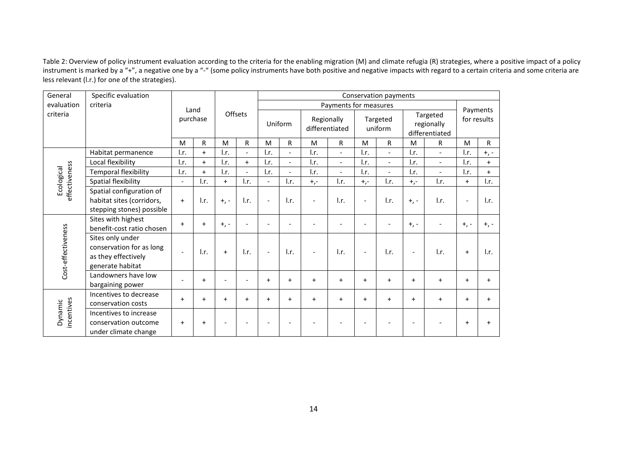Table 2: Overview of policy instrument evaluation according to the criteria for the enabling migration (M) and climate refugia (R) strategies, where a positive impact of a policy instrument is marked by a "+", a negative one by a "-" (some policy instruments have both positive and negative impacts with regard to a certain criteria and some criteria are less relevant (l.r.) for one of the strategies).

| General                     | Specific evaluation                                                                     |                          |                           |                           | Conservation payments     |                           |                          |                              |                          |                          |                          |                                          |                           |                           |                 |
|-----------------------------|-----------------------------------------------------------------------------------------|--------------------------|---------------------------|---------------------------|---------------------------|---------------------------|--------------------------|------------------------------|--------------------------|--------------------------|--------------------------|------------------------------------------|---------------------------|---------------------------|-----------------|
| evaluation<br>criteria      |                                                                                         | Land<br>purchase         |                           | Offsets                   |                           | Payments for measures     |                          |                              |                          |                          |                          |                                          | Payments                  |                           |                 |
| criteria                    |                                                                                         |                          |                           |                           |                           | Uniform                   |                          | Regionally<br>differentiated |                          | Targeted<br>uniform      |                          | Targeted<br>regionally<br>differentiated |                           | for results               |                 |
|                             |                                                                                         | M                        | R                         | M                         | R                         | M                         | R                        | M                            | R.                       | M                        | R                        | M                                        | R.                        | M                         | R.              |
| effectiveness<br>Ecological | Habitat permanence                                                                      | l.r.                     | $+$                       | l.r.                      |                           | l.r.                      | $\overline{a}$           | I.r.                         | $\overline{\phantom{a}}$ | l.r.                     | $\sim$                   | l.r.                                     | $\overline{a}$            | $\mathsf{I}.\mathsf{r}$ . | $+,-$           |
|                             | Local flexibility                                                                       | l.r.                     | $\ddot{}$                 | $\mathsf{I}.\mathsf{r}$ . | $+$                       | $\mathsf{I}.\mathsf{r}$ . | $\overline{a}$           | I.r.                         | $\overline{\phantom{0}}$ | l.r.                     | $\overline{\phantom{a}}$ | $\mathsf{I}.\mathsf{r}$ .                | $\overline{\phantom{a}}$  | $\mathsf{I}.\mathsf{r}$ . | $+$             |
|                             | <b>Temporal flexibility</b>                                                             | l.r.                     | $\ddot{}$                 | $\mathsf{I}.\mathsf{r}$ . |                           | $\mathsf{I}.\mathsf{r}$ . |                          | I.r.                         |                          | l.r.                     |                          | $\mathsf{I}.\mathsf{r}$ .                |                           | l.r.                      | $+$             |
|                             | Spatial flexibility                                                                     | $\overline{\phantom{0}}$ | $\mathsf{I}.\mathsf{r}$ . | $+$                       | l.r.                      | $\overline{\phantom{0}}$  | I.r.                     | $+,-$                        | l.r.                     | $+,-$                    | I.r.                     | $+,-$                                    | I.r.                      | $\ddot{}$                 | l.r.            |
|                             | Spatial configuration of<br>habitat sites (corridors,<br>stepping stones) possible      | $+$                      | $\mathsf{I}.\mathsf{r}$ . | $+$ , -                   | $\mathsf{I}.\mathsf{r}$ . | $\blacksquare$            | l.r.                     | $\overline{\phantom{a}}$     | l.r.                     | $\overline{\phantom{a}}$ | l.r.                     | $+$ , -                                  | $\mathsf{I}.\mathsf{r}$ . |                           | $\mathsf{L}$ r. |
| Cost-effectiveness          | Sites with highest<br>benefit-cost ratio chosen                                         | $+$                      | $\ddot{}$                 | $+$ , -                   | $\overline{a}$            |                           | $\overline{\phantom{a}}$ |                              | ٠                        | $\overline{\phantom{a}}$ | $\overline{\phantom{a}}$ | $+$ , -                                  |                           | $+$ , -                   | $+$ , -         |
|                             | Sites only under<br>conservation for as long<br>as they effectively<br>generate habitat |                          | $\mathsf{I}.\mathsf{r}$ . | $+$                       | l.r.                      |                           | l.r.                     |                              | l.r.                     | $\overline{\phantom{a}}$ | l.r.                     | $\overline{\phantom{0}}$                 | l.r.                      | $+$                       | l.r.            |
|                             | Landowners have low<br>bargaining power                                                 |                          | $\ddot{}$                 |                           |                           | $+$                       | $\ddot{}$                | $\ddot{}$                    | $\ddot{}$                | $+$                      | $+$                      | $+$                                      | $+$                       | $+$                       | $\ddot{}$       |
| incentives<br>Dynamic       | Incentives to decrease<br>conservation costs                                            | $+$                      | $\ddot{}$                 | $\ddot{}$                 | $\ddot{}$                 | $+$                       | $+$                      | $+$                          | $+$                      | $\ddot{}$                | $+$                      | $\ddot{}$                                | $+$                       | $\ddot{}$                 | $\ddot{}$       |
|                             | Incentives to increase<br>conservation outcome<br>under climate change                  | $+$                      | $+$                       |                           |                           |                           |                          |                              |                          |                          |                          |                                          |                           | $\ddot{}$                 |                 |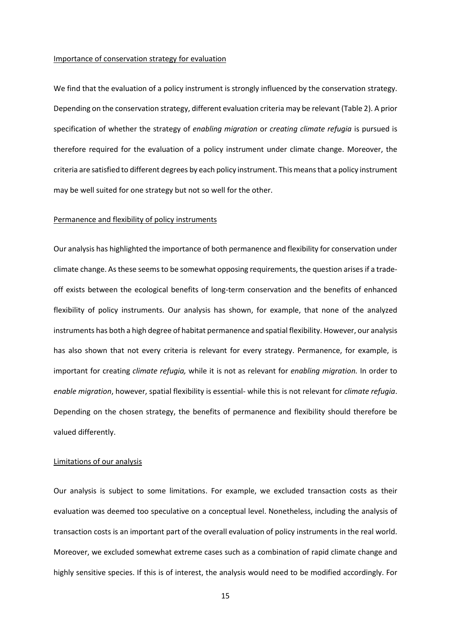## Importance of conservation strategy for evaluation

We find that the evaluation of a policy instrument is strongly influenced by the conservation strategy. Depending on the conservation strategy, different evaluation criteria may be relevant (Table 2). A prior specification of whether the strategy of *enabling migration* or *creating climate refugia* is pursued is therefore required for the evaluation of a policy instrument under climate change. Moreover, the criteria are satisfied to different degrees by each policy instrument. This means that a policy instrument may be well suited for one strategy but not so well for the other.

# Permanence and flexibility of policy instruments

Our analysis has highlighted the importance of both permanence and flexibility for conservation under climate change. As these seems to be somewhat opposing requirements, the question arises if a tradeoff exists between the ecological benefits of long-term conservation and the benefits of enhanced flexibility of policy instruments. Our analysis has shown, for example, that none of the analyzed instruments has both a high degree of habitat permanence and spatial flexibility. However, our analysis has also shown that not every criteria is relevant for every strategy. Permanence, for example, is important for creating *climate refugia,* while it is not as relevant for *enabling migration.* In order to *enable migration*, however, spatial flexibility is essential- while this is not relevant for *climate refugia*. Depending on the chosen strategy, the benefits of permanence and flexibility should therefore be valued differently.

# Limitations of our analysis

Our analysis is subject to some limitations. For example, we excluded transaction costs as their evaluation was deemed too speculative on a conceptual level. Nonetheless, including the analysis of transaction costs is an important part of the overall evaluation of policy instruments in the real world. Moreover, we excluded somewhat extreme cases such as a combination of rapid climate change and highly sensitive species. If this is of interest, the analysis would need to be modified accordingly. For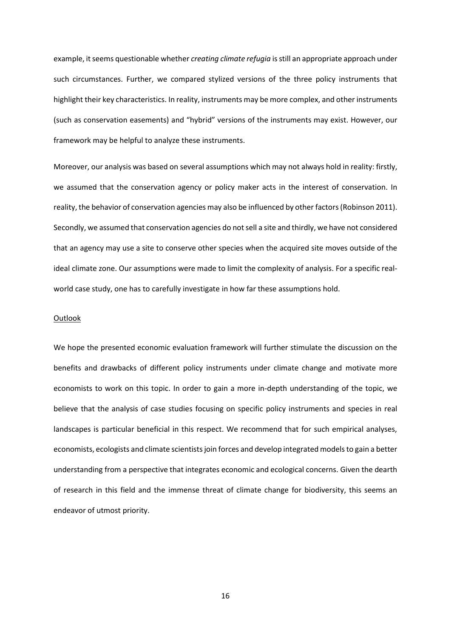example, it seems questionable whether *creating climate refugia* is still an appropriate approach under such circumstances. Further, we compared stylized versions of the three policy instruments that highlight their key characteristics. In reality, instruments may be more complex, and other instruments (such as conservation easements) and "hybrid" versions of the instruments may exist. However, our framework may be helpful to analyze these instruments.

Moreover, our analysis was based on several assumptions which may not always hold in reality: firstly, we assumed that the conservation agency or policy maker acts in the interest of conservation. In reality, the behavior of conservation agencies may also be influenced by other factors (Robinson 2011). Secondly, we assumed that conservation agencies do not sell a site and thirdly, we have not considered that an agency may use a site to conserve other species when the acquired site moves outside of the ideal climate zone. Our assumptions were made to limit the complexity of analysis. For a specific realworld case study, one has to carefully investigate in how far these assumptions hold.

#### **Outlook**

We hope the presented economic evaluation framework will further stimulate the discussion on the benefits and drawbacks of different policy instruments under climate change and motivate more economists to work on this topic. In order to gain a more in-depth understanding of the topic, we believe that the analysis of case studies focusing on specific policy instruments and species in real landscapes is particular beneficial in this respect. We recommend that for such empirical analyses, economists, ecologists and climate scientists join forces and develop integrated models to gain a better understanding from a perspective that integrates economic and ecological concerns. Given the dearth of research in this field and the immense threat of climate change for biodiversity, this seems an endeavor of utmost priority.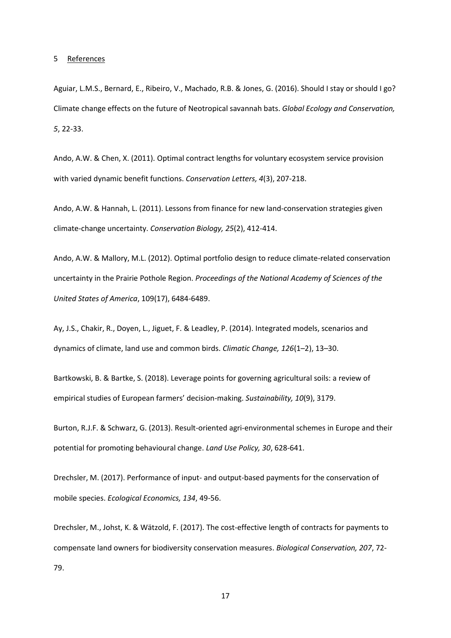5 References

Aguiar, L.M.S., Bernard, E., Ribeiro, V., Machado, R.B. & Jones, G. (2016). Should I stay or should I go? Climate change effects on the future of Neotropical savannah bats. *Global Ecology and Conservation, 5*, 22-33.

Ando, A.W. & Chen, X. (2011). Optimal contract lengths for voluntary ecosystem service provision with varied dynamic benefit functions. *Conservation Letters, 4*(3), 207-218.

Ando, A.W. & Hannah, L. (2011). Lessons from finance for new land-conservation strategies given climate-change uncertainty. *Conservation Biology, 25*(2), 412-414.

Ando, A.W. & Mallory, M.L. (2012). Optimal portfolio design to reduce climate-related conservation uncertainty in the Prairie Pothole Region. *Proceedings of the National Academy of Sciences of the United States of America*, 109(17), 6484-6489.

Ay, J.S., Chakir, R., Doyen, L., Jiguet, F. & Leadley, P. (2014). Integrated models, scenarios and dynamics of climate, land use and common birds. *Climatic Change, 126*(1–2), 13–30.

Bartkowski, B. & Bartke, S. (2018). Leverage points for governing agricultural soils: a review of empirical studies of European farmers' decision-making. *Sustainability, 10*(9), 3179.

Burton, R.J.F. & Schwarz, G. (2013). Result-oriented agri-environmental schemes in Europe and their potential for promoting behavioural change. *Land Use Policy, 30*, 628-641.

Drechsler, M. (2017). Performance of input- and output-based payments for the conservation of mobile species. *Ecological Economics, 134*, 49-56.

Drechsler, M., Johst, K. & Wätzold, F. (2017). The cost-effective length of contracts for payments to compensate land owners for biodiversity conservation measures. *Biological Conservation, 207*, 72- 79.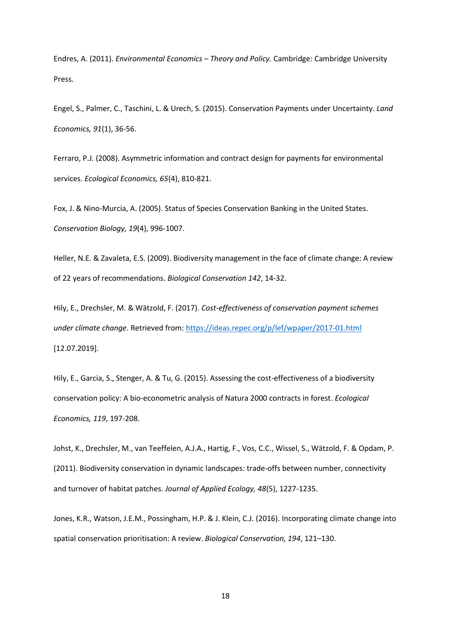Endres, A. (2011). *Environmental Economics – Theory and Policy.* Cambridge: Cambridge University Press.

Engel, S., Palmer, C., Taschini, L. & Urech, S. (2015). Conservation Payments under Uncertainty. *Land Economics, 91*(1), 36-56.

Ferraro, P.J. (2008). Asymmetric information and contract design for payments for environmental services. *Ecological Economics, 65*(4), 810-821.

Fox, J. & Nino-Murcia, A. (2005). Status of Species Conservation Banking in the United States. *Conservation Biology, 19*(4), 996-1007.

Heller, N.E. & Zavaleta, E.S. (2009). Biodiversity management in the face of climate change: A review of 22 years of recommendations. *Biological Conservation 142*, 14-32.

Hily, E., Drechsler, M. & Wätzold, F. (2017). *Cost-effectiveness of conservation payment schemes under climate change*. Retrieved from:<https://ideas.repec.org/p/lef/wpaper/2017-01.html> [12.07.2019].

Hily, E., Garcia, S., Stenger, A. & Tu, G. (2015). Assessing the cost-effectiveness of a biodiversity conservation policy: A bio-econometric analysis of Natura 2000 contracts in forest. *Ecological Economics, 119*, 197-208.

Johst, K., Drechsler, M., van Teeffelen, A.J.A., Hartig, F., Vos, C.C., Wissel, S., Wätzold, F. & Opdam, P. (2011). Biodiversity conservation in dynamic landscapes: trade‐offs between number, connectivity and turnover of habitat patches. *Journal of Applied Ecology, 48*(5), 1227-1235.

Jones, K.R., Watson, J.E.M., Possingham, H.P. & J. Klein, C.J. (2016). Incorporating climate change into spatial conservation prioritisation: A review. *Biological Conservation, 194*, 121–130.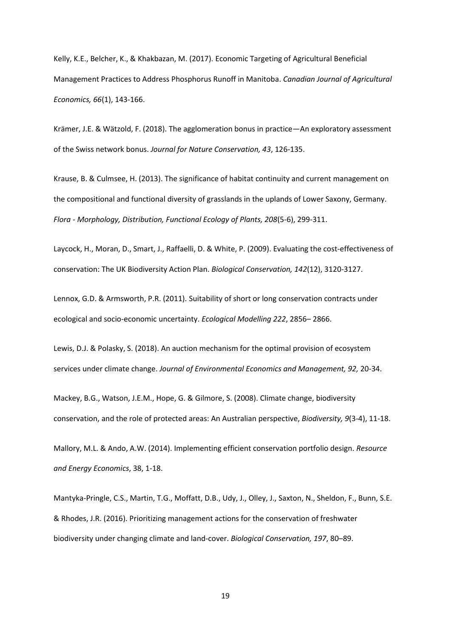Kelly, K.E., Belcher, K., & Khakbazan, M. (2017). Economic Targeting of Agricultural Beneficial Management Practices to Address Phosphorus Runoff in Manitoba. *Canadian Journal of Agricultural Economics, 66*(1), 143-166.

Krämer, J.E. & Wätzold, F. (2018). The agglomeration bonus in practice—An exploratory assessment of the Swiss network bonus. *Journal for Nature Conservation, 43*, 126-135.

Krause, B. & Culmsee, H. (2013). The significance of habitat continuity and current management on the compositional and functional diversity of grasslands in the uplands of Lower Saxony, Germany. *Flora - Morphology, Distribution, Functional Ecology of Plants, 208*(5-6), 299-311.

Laycock, H., Moran, D., Smart, J., Raffaelli, D. & White, P. (2009). Evaluating the cost-effectiveness of conservation: The UK Biodiversity Action Plan. *Biological Conservation, 142*(12), 3120-3127.

Lennox, G.D. & Armsworth, P.R. (2011). Suitability of short or long conservation contracts under ecological and socio-economic uncertainty. *Ecological Modelling 222*, 2856– 2866.

Lewis, D.J. & Polasky, S. (2018). An auction mechanism for the optimal provision of ecosystem services under climate change. *Journal of Environmental Economics and Management, 92,* 20-34.

Mackey, B.G., Watson, J.E.M., Hope, G. & Gilmore, S. (2008). Climate change, biodiversity conservation, and the role of protected areas: An Australian perspective, *Biodiversity, 9*(3-4), 11-18.

Mallory, M.L. & Ando, A.W. (2014). Implementing efficient conservation portfolio design. *Resource and Energy Economics*, 38, 1-18.

Mantyka-Pringle, C.S., Martin, T.G., Moffatt, D.B., Udy, J., Olley, J., Saxton, N., Sheldon, F., Bunn, S.E. & Rhodes, J.R. (2016). Prioritizing management actions for the conservation of freshwater biodiversity under changing climate and land-cover. *Biological Conservation, 197*, 80–89.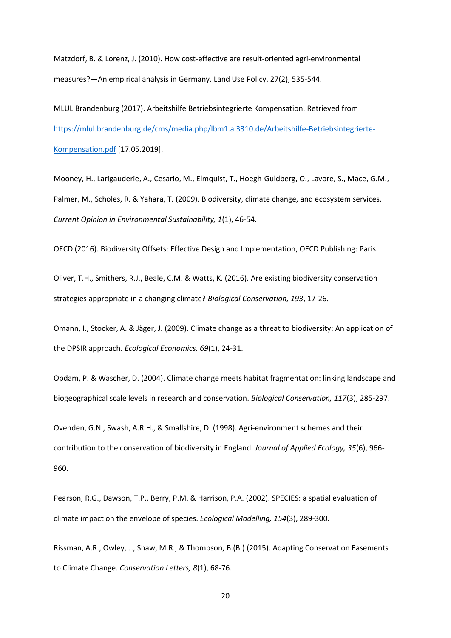Matzdorf, B. & Lorenz, J. (2010). How cost-effective are result-oriented agri-environmental measures?—An empirical analysis in Germany. Land Use Policy, 27(2), 535-544.

MLUL Brandenburg (2017). Arbeitshilfe Betriebsintegrierte Kompensation. Retrieved from [https://mlul.brandenburg.de/cms/media.php/lbm1.a.3310.de/Arbeitshilfe-Betriebsintegrierte-](https://mlul.brandenburg.de/cms/media.php/lbm1.a.3310.de/Arbeitshilfe-Betriebsintegrierte-Kompensation.pdf)[Kompensation.pdf](https://mlul.brandenburg.de/cms/media.php/lbm1.a.3310.de/Arbeitshilfe-Betriebsintegrierte-Kompensation.pdf) [17.05.2019].

Mooney, H., Larigauderie, A., Cesario, M., Elmquist, T., Hoegh-Guldberg, O., Lavore, S., Mace, G.M., Palmer, M., Scholes, R. & Yahara, T. (2009). Biodiversity, climate change, and ecosystem services. *Current Opinion in Environmental Sustainability, 1*(1), 46-54.

OECD (2016). Biodiversity Offsets: Effective Design and Implementation, OECD Publishing: Paris.

Oliver, T.H., Smithers, R.J., Beale, C.M. & Watts, K. (2016). Are existing biodiversity conservation strategies appropriate in a changing climate? *Biological Conservation, 193*, 17-26.

Omann, I., Stocker, A. & Jäger, J. (2009). Climate change as a threat to biodiversity: An application of the DPSIR approach. *Ecological Economics, 69*(1), 24-31.

Opdam, P. & Wascher, D. (2004). Climate change meets habitat fragmentation: linking landscape and biogeographical scale levels in research and conservation. *Biological Conservation, 117*(3), 285-297.

Ovenden, G.N., Swash, A.R.H., & Smallshire, D. (1998). Agri‐environment schemes and their contribution to the conservation of biodiversity in England. *Journal of Applied Ecology, 35*(6), 966- 960.

Pearson, R.G., Dawson, T.P., Berry, P.M. & Harrison, P.A. (2002). SPECIES: a spatial evaluation of climate impact on the envelope of species. *Ecological Modelling, 154*(3), 289-300.

Rissman, A.R., Owley, J., Shaw, M.R., & Thompson, B.(B.) (2015). Adapting Conservation Easements to Climate Change. *Conservation Letters, 8*(1), 68-76.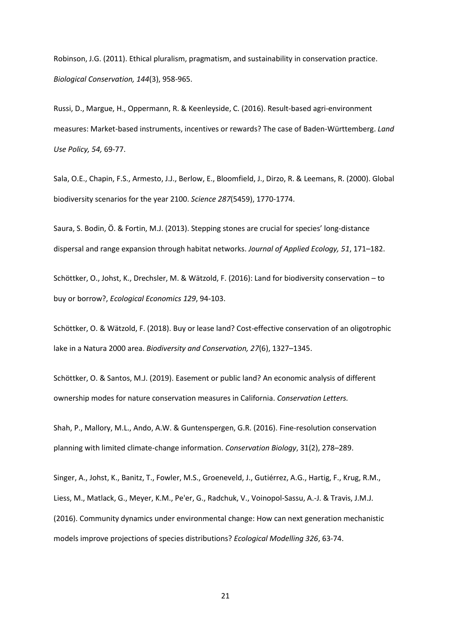Robinson, J.G. (2011). Ethical pluralism, pragmatism, and sustainability in conservation practice. *Biological Conservation, 144*(3), 958-965.

Russi, D., Margue, H., Oppermann, R. & Keenleyside, C. (2016). Result-based agri-environment measures: Market-based instruments, incentives or rewards? The case of Baden-Württemberg. *Land Use Policy, 54,* 69-77.

Sala, O.E., Chapin, F.S., Armesto, J.J., Berlow, E., Bloomfield, J., Dirzo, R. & Leemans, R. (2000). Global biodiversity scenarios for the year 2100. *Science 287*(5459), 1770-1774.

Saura, S. Bodin, Ö. & Fortin, M.J. (2013). Stepping stones are crucial for species' long-distance dispersal and range expansion through habitat networks. *Journal of Applied Ecology, 51*, 171–182.

Schöttker, O., Johst, K., Drechsler, M. & Wätzold, F. (2016): Land for biodiversity conservation – to buy or borrow?, *Ecological Economics 129*, 94-103.

Schöttker, O. & Wätzold, F. (2018). Buy or lease land? Cost-effective conservation of an oligotrophic lake in a Natura 2000 area. *Biodiversity and Conservation, 27*(6), 1327–1345.

Schöttker, O. & Santos, M.J. (2019). Easement or public land? An economic analysis of different ownership modes for nature conservation measures in California. *Conservation Letters.* 

Shah, P., Mallory, M.L., Ando, A.W. & Guntenspergen, G.R. (2016). Fine-resolution conservation planning with limited climate-change information. *Conservation Biology*, 31(2), 278–289.

Singer, A., Johst, K., Banitz, T., Fowler, M.S., Groeneveld, J., Gutiérrez, A.G., Hartig, F., Krug, R.M., Liess, M., Matlack, G., Meyer, K.M., Pe'er, G., Radchuk, V., Voinopol-Sassu, A.-J. & Travis, J.M.J. (2016). Community dynamics under environmental change: How can next generation mechanistic models improve projections of species distributions? *Ecological Modelling 326*, 63-74.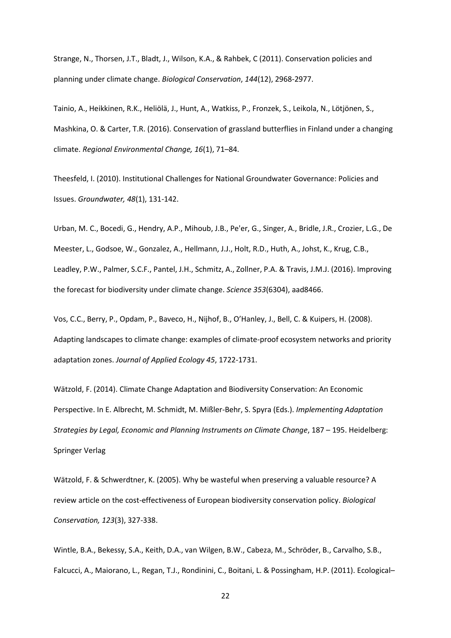Strange, N., Thorsen, J.T., Bladt, J., Wilson, K.A., & Rahbek, C (2011). Conservation policies and planning under climate change. *Biological Conservation*, *144*(12), 2968-2977.

Tainio, A., Heikkinen, R.K., Heliölä, J., Hunt, A., Watkiss, P., Fronzek, S., Leikola, N., Lötjönen, S., Mashkina, O. & Carter, T.R. (2016). Conservation of grassland butterflies in Finland under a changing climate. *Regional Environmental Change, 16*(1), 71–84.

Theesfeld, I. (2010). Institutional Challenges for National Groundwater Governance: Policies and Issues. *Groundwater, 48*(1), 131-142.

Urban, M. C., Bocedi, G., Hendry, A.P., Mihoub, J.B., Pe'er, G., Singer, A., Bridle, J.R., Crozier, L.G., De Meester, L., Godsoe, W., Gonzalez, A., Hellmann, J.J., Holt, R.D., Huth, A., Johst, K., Krug, C.B., Leadley, P.W., Palmer, S.C.F., Pantel, J.H., Schmitz, A., Zollner, P.A. & Travis, J.M.J. (2016). Improving the forecast for biodiversity under climate change. *Science 353*(6304), aad8466.

Vos, C.C., Berry, P., Opdam, P., Baveco, H., Nijhof, B., O'Hanley, J., Bell, C. & Kuipers, H. (2008). Adapting landscapes to climate change: examples of climate-proof ecosystem networks and priority adaptation zones. *Journal of Applied Ecology 45*, 1722-1731.

Wätzold, F. (2014). Climate Change Adaptation and Biodiversity Conservation: An Economic Perspective. In E. Albrecht, M. Schmidt, M. Mißler-Behr, S. Spyra (Eds.). *Implementing Adaptation Strategies by Legal, Economic and Planning Instruments on Climate Change*, 187 – 195. Heidelberg: Springer Verlag

Wätzold, F. & Schwerdtner, K. (2005). Why be wasteful when preserving a valuable resource? A review article on the cost-effectiveness of European biodiversity conservation policy. *Biological Conservation, 123*(3), 327-338.

Wintle, B.A., Bekessy, S.A., Keith, D.A., van Wilgen, B.W., Cabeza, M., Schröder, B., Carvalho, S.B., Falcucci, A., Maiorano, L., Regan, T.J., Rondinini, C., Boitani, L. & Possingham, H.P. (2011). Ecological–